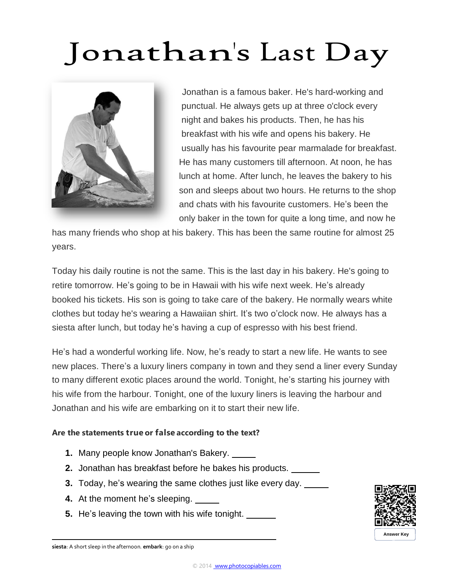# Jonathan 's Last Day



Jonathan is a famous baker. He's hard-working and punctual. He always gets up at three o'clock every night and bakes his products. Then, he has his breakfast with his wife and opens his bakery. He usually has his favourite pear marmalade for breakfast. He has many customers till afternoon. At noon, he has lunch at home. After lunch, he leaves the bakery to his son and sleeps about two hours. He returns to the shop and chats with his favourite customers. He's been the only baker in the town for quite a long time, and now he

has many friends who shop at his bakery. This has been the same routine for almost 25 years.

Today his daily routine is not the same. This is the last day in his bakery. He's going to retire tomorrow. He's going to be in Hawaii with his wife next week. He's already booked his tickets. His son is going to take care of the bakery. He normally wears white clothes but today he's wearing a Hawaiian shirt. It's two o'clock now. He always has a siesta after lunch, but today he's having a cup of espresso with his best friend.

He's had a wonderful working life. Now, he's ready to start a new life. He wants to see new places. There's a luxury liners company in town and they send a liner every Sunday to many different exotic places around the world. Tonight, he's starting his journey with his wife from the harbour. Tonight, one of the luxury liners is leaving the harbour and Jonathan and his wife are embarking on it to start their new life.

### **Are the statements true or false according to the text?**

- **1.** Many people know Jonathan's Bakery.
- **2.** Jonathan has breakfast before he bakes his products.
- **3.** Today, he's wearing the same clothes just like every day.
- **4.** At the moment he's sleeping.
- **5.** He's leaving the town with his wife tonight.



**siesta**: A short sleep in the afternoon. **embark**: go on a ship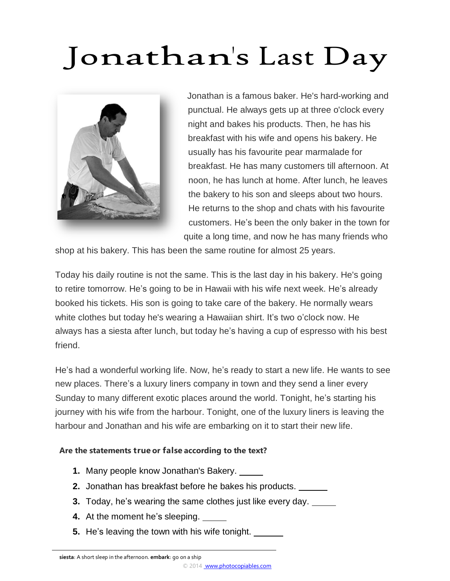# Jonathan 's Last Day



Jonathan is a famous baker. He's hard-working and punctual. He always gets up at three o'clock every night and bakes his products. Then, he has his breakfast with his wife and opens his bakery. He usually has his favourite pear marmalade for breakfast. He has many customers till afternoon. At noon, he has lunch at home. After lunch, he leaves the bakery to his son and sleeps about two hours. He returns to the shop and chats with his favourite customers. He's been the only baker in the town for quite a long time, and now he has many friends who

shop at his bakery. This has been the same routine for almost 25 years.

Today his daily routine is not the same. This is the last day in his bakery. He's going to retire tomorrow. He's going to be in Hawaii with his wife next week. He's already booked his tickets. His son is going to take care of the bakery. He normally wears white clothes but today he's wearing a Hawaiian shirt. It's two o'clock now. He always has a siesta after lunch, but today he's having a cup of espresso with his best friend.

He's had a wonderful working life. Now, he's ready to start a new life. He wants to see new places. There's a luxury liners company in town and they send a liner every Sunday to many different exotic places around the world. Tonight, he's starting his journey with his wife from the harbour. Tonight, one of the luxury liners is leaving the harbour and Jonathan and his wife are embarking on it to start their new life.

### **Are the statements true or false according to the text?**

- **1.** Many people know Jonathan's Bakery.
- **2.** Jonathan has breakfast before he bakes his products.
- **3.** Today, he's wearing the same clothes just like every day.
- **4.** At the moment he's sleeping.
- **5.** He's leaving the town with his wife tonight.

**siesta**: A short sleep in the afternoon. **embark**: go on a ship